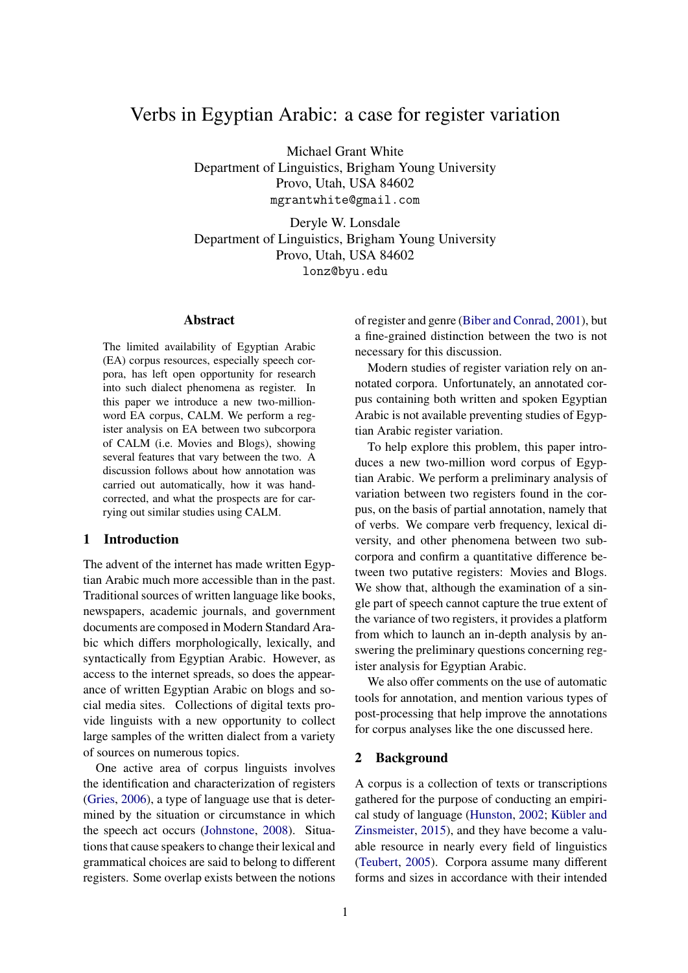# Verbs in Egyptian Arabic: a case for register variation

Michael Grant White Department of Linguistics, Brigham Young University Provo, Utah, USA 84602 mgrantwhite@gmail.com

Deryle W. Lonsdale Department of Linguistics, Brigham Young University Provo, Utah, USA 84602 lonz@byu.edu

## **Abstract**

The limited availability of Egyptian Arabic (EA) corpus resources, especially speech corpora, has left open opportunity for research into such dialect phenomena as register. In this paper we introduce a new two-millionword EA corpus, CALM. We perform a register analysis on EA between two subcorpora of CALM (i.e. Movies and Blogs), showing several features that vary between the two. A discussion follows about how annotation was carried out automatically, how it was handcorrected, and what the prospects are for carrying out similar studies using CALM.

## **1 Introduction**

The advent of the internet has made written Egyptian Arabic much more accessible than in the past. Traditional sources of written language like books, newspapers, academic journals, and government documents are composed in Modern Standard Arabic which differs morphologically, lexically, and syntactically from Egyptian Arabic. However, as access to the internet spreads, so does the appearance of written Egyptian Arabic on blogs and social media sites. Collections of digital texts provide linguists with a new opportunity to collect large samples of the written dialect from a variety of sources on numerous topics.

One active area of corpus linguists involves the identification and characterization of registers (Gries, 2006), a type of language use that is determined by the situation or circumstance in which the speech act occurs (Johnstone, 2008). Situations that cause speakers to change their lexical and [grammatical](#page-10-0) choices are said to belong to different registers. Some overlap [exists between th](#page-10-1)e notions of register and genre (Biber and Conrad, 2001), but a fine-grained distinction between the two is not necessary for this discussion.

Modern studies of register variation rely on annotated corpora. Un[fortunately, an annotated](#page-9-0) corpus containing both written and spoken Egyptian Arabic is not available preventing studies of Egyptian Arabic register variation.

To help explore this problem, this paper introduces a new two-million word corpus of Egyptian Arabic. We perform a preliminary analysis of variation between two registers found in the corpus, on the basis of partial annotation, namely that of verbs. We compare verb frequency, lexical diversity, and other phenomena between two subcorpora and confirm a quantitative difference between two putative registers: Movies and Blogs. We show that, although the examination of a single part of speech cannot capture the true extent of the variance of two registers, it provides a platform from which to launch an in-depth analysis by answering the preliminary questions concerning register analysis for Egyptian Arabic.

We also offer comments on the use of automatic tools for annotation, and mention various types of post-processing that help improve the annotations for corpus analyses like the one discussed here.

## **2 Background**

A corpus is a collection of texts or transcriptions gathered for the purpose of conducting an empirical study of language (Hunston, 2002; Kübler and Zinsmeister, 2015), and they have become a valuable resource in nearly every field of linguistics (Teubert, 2005). Corpora assume many different [forms and sizes in](#page-10-3) acc[ordance with th](#page-10-2)[eir intended](#page-10-3)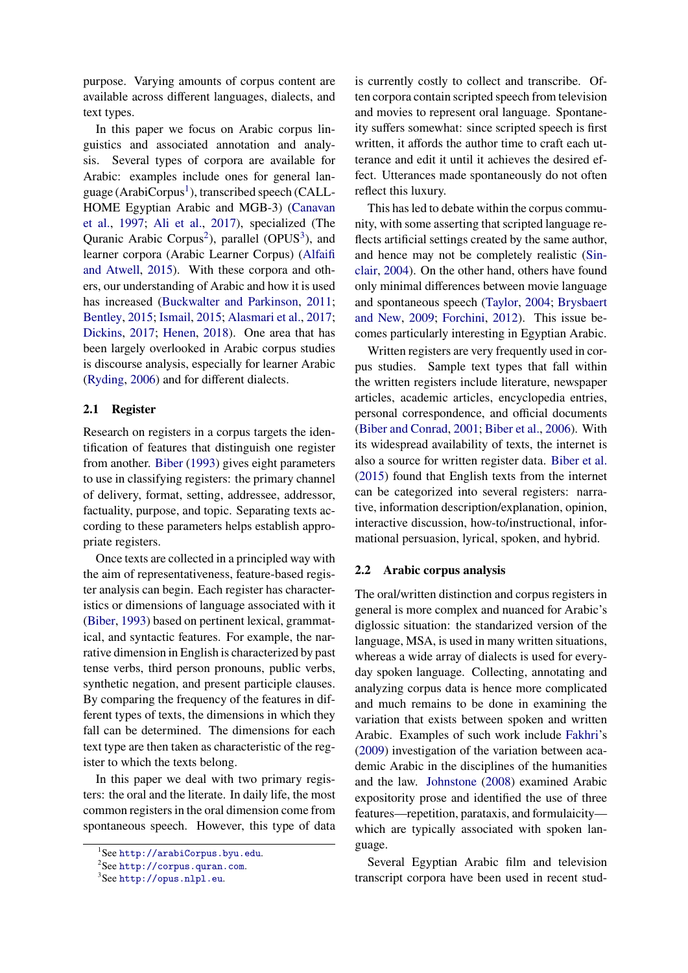purpose. Varying amounts of corpus content are available across different languages, dialects, and text types.

In this paper we focus on Arabic corpus linguistics and associated annotation and analysis. Several types of corpora are available for Arabic: examples include ones for general language (ArabiCorpus<sup>1</sup>), transcribed speech (CALL-HOME Egyptian Arabic and MGB-3) (Canavan et al., 1997; Ali et al., 2017), specialized (The Quranic Arabic Co[rp](#page-1-0)us<sup>2</sup>), parallel (OPUS<sup>3</sup>), and learner corpora (Arabic Learner Corpus) (Alfaifi and Atwell, 2015). With these corpora [and oth](#page-9-1)[ers, o](#page-9-1)u[r unde](#page-9-1)r[standing o](#page-9-2)[f](#page-1-1) [Arabi](#page-9-2)c and how it [is](#page-1-2) used has increased (Buckwalter and Parkinson, 2011; Bentley, 2015; Ismail, 2015; Alasmari et al., [2017;](#page-9-3) [Dickins,](#page-9-3) 20[17;](#page-9-3) Henen, 2018). One area that has been largely overlooked in Arabic corpus studies is discourse an[alysis, especially for learner Arabic](#page-9-4) [\(Ryding](#page-9-5), [2006](#page-9-5)[\) and f](#page-10-4)[o](#page-10-5)[r diff](#page-10-4)[er](#page-10-5)[ent dialects.](#page-9-6)

#### **2.1 Register**

[Research on re](#page-10-6)gisters in a corpus targets the identification of features that distinguish one register from another. Biber (1993) gives eight parameters to use in classifying registers: the primary channel of delivery, format, setting, addressee, addressor, factuality, purpose, and topic. Separating texts according to the[se par](#page-9-8)a[meter](#page-9-8)s helps establish appropriate registers.

Once texts are collected in a principled way with the aim of representativeness, feature-based register analysis can begin. Each register has characteristics or dimensions of language associated with it (Biber, 1993) based on pertinent lexical, grammatical, and syntactic features. For example, the narrative dimension in English is characterized by past tense verbs, third person pronouns, public verbs, [synthe](#page-9-8)t[ic neg](#page-9-8)ation, and present participle clauses. By comparing the frequency of the features in different types of texts, the dimensions in which they fall can be determined. The dimensions for each text type are then taken as characteristic of the register to which the texts belong.

In this paper we deal with two primary registers: the oral and the literate. In daily life, the most common registers in the oral dimension come from spontaneous speech. However, this type of data is currently costly to collect and transcribe. Often corpora contain scripted speech from television and movies to represent oral language. Spontaneity suffers somewhat: since scripted speech is first written, it affords the author time to craft each utterance and edit it until it achieves the desired effect. Utterances made spontaneously do not often reflect this luxury.

This has led to debate within the corpus community, with some asserting that scripted language reflects artificial settings created by the same author, and hence may not be completely realistic (Sinclair, 2004). On the other hand, others have found only minimal differences between movie language and spontaneous speech (Taylor, 2004; Brysbaert and New, 2009; Forchini, 2012). This issu[e be](#page-11-0)[comes part](#page-11-0)icularly interesting in Egyptian Arabic.

Written registers are very frequently used in corpus studies. Sample te[xt types that](#page-11-1)f[all within](#page-9-9) [the written regis](#page-9-9)t[ers inclu](#page-10-7)d[e liter](#page-10-7)ature, newspaper articles, academic articles, encyclopedia entries, personal correspondence, and official documents (Biber and Conrad, 2001; Biber et al., 2006). With its widespread availability of texts, the internet is also a source for written register data. Biber et al. (2015) found that English texts from the internet [can be categorized into](#page-9-0) [several registers:](#page-9-10) narrative, information description/explanation, opinion, interactive discussion, how-to/instructi[onal, infor](#page-9-11)[mation](#page-9-11)al persuasion, lyrical, spoken, and hybrid.

#### **2.2 Arabic corpus analysis**

The oral/written distinction and corpus registers in general is more complex and nuanced for Arabic's diglossic situation: the standarized version of the language, MSA, is used in many written situations, whereas a wide array of dialects is used for everyday spoken language. Collecting, annotating and analyzing corpus data is hence more complicated and much remains to be done in examining the variation that exists between spoken and written Arabic. Examples of such work include Fakhri's (2009) investigation of the variation between academic Arabic in the disciplines of the humanities and the law. Johnstone (2008) examined Arabic expositority prose and identified the use [of thre](#page-10-8)e f[eature](#page-10-8)s––repetition, parataxis, and formulaicity which are ty[pically associated](#page-10-1) with spoken language.

Several Egyptian Arabic film and television transcript corpora have been used in recent stud-

<sup>1</sup> See http://arabiCorpus.byu.edu.

<sup>&</sup>lt;sup>2</sup>See http://corpus.quran.com.

<span id="page-1-2"></span><span id="page-1-1"></span><span id="page-1-0"></span><sup>3</sup> See http://opus.nlpl.eu.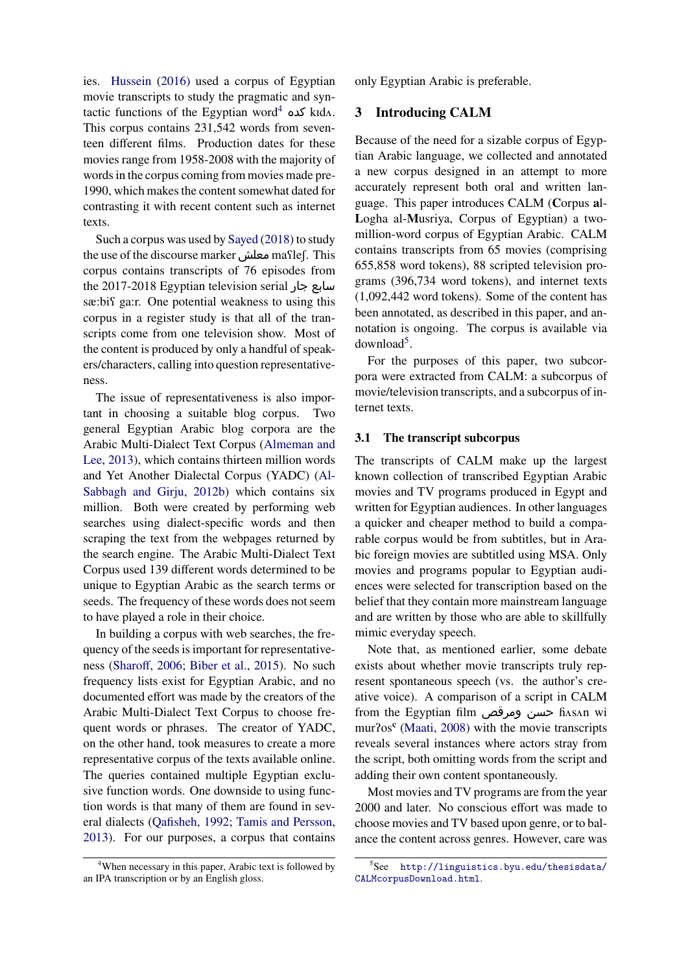ies. Hussein (2016) used a corpus of Egyptian movie transcripts to study the pragmatic and syntactic functions of the Egyptian word<sup>4</sup>  $\lambda$ . This corpus contains 231,542 words from seventeen [different films.](#page-10-9) Production dates for these movies range from 1958-2008 with the [m](#page-2-0)ajority of words in the corpus coming from movies made pre-1990, which makes the content somewhat dated for contrasting it with recent content such as internet texts.

Such a corpus was used by Sayed (2018) to study the use of the discourse markerمعلش maʕleʃ. This corpus contains transcripts of 76 episodes from the 2017-2018 Egyptian television serial جار سابع sæ:bis ga: n. One potential [weakness to u](#page-10-10)sing this corpus in a register study is that all of the transcripts come from one television show. Most of the content is produced by only a handful of speakers/characters, calling into question representativeness.

The issue of representativeness is also important in choosing a suitable blog corpus. Two general Egyptian Arabic blog corpora are the Arabic Multi-Dialect Text Corpus (Almeman and Lee, 2013), which contains thirteen million words and Yet Another Dialectal Corpus (YADC) (Al-Sabbagh and Girju, 2012b) which contains six million. Both were created by p[erforming web](#page-9-12) [searches u](#page-9-12)sing dialect-specific words and then scraping the text from the webpages returned [by](#page-9-13) [the search engine. The Arab](#page-9-13)ic Multi-Dialect Text Corpus used 139 different words determined to be unique to Egyptian Arabic as the search terms or seeds. The frequency of these words does not seem to have played a role in their choice.

In building a corpus with web searches, the frequency of the seeds is important for representativeness (Sharoff, 2006; Biber et al., 2015). No such frequency lists exist for Egyptian Arabic, and no documented effort was made by the creators of the Arabic Multi-Dialect Text Corpus to choose frequent [words or phr](#page-11-2)a[ses. The c](#page-9-11)r[eator](#page-9-11) of YADC, on the other hand, took measures to create a more representative corpus of the texts available online. The queries contained multiple Egyptian exclusive function words. One downside to using function words is that many of them are found in several dialects (Qafisheh, 1992; Tamis and Persson, 2013). For our purposes, a corpus that contains only Egyptian Arabic is preferable.

## **3 Introducing CALM**

Because of the need for a sizable corpus of Egyptian Arabic language, we collected and annotated a new corpus designed in an attempt to more accurately represent both oral and written language. This paper introduces CALM (**C**orpus **a**l-**L**ogha al-**M**usriya, Corpus of Egyptian) a twomillion-word corpus of Egyptian Arabic. CALM contains transcripts from 65 movies (comprising 655,858 word tokens), 88 scripted television programs (396,734 word tokens), and internet texts (1,092,442 word tokens). Some of the content has been annotated, as described in this paper, and annotation is ongoing. The corpus is available via download<sup>5</sup>.

For the purposes of this paper, two subcorpora were extracted from CALM: a subcorpus of movie/tel[ev](#page-2-1)ision transcripts, and a subcorpus of internet texts.

#### **3.1 The transcript subcorpus**

The transcripts of CALM make up the largest known collection of transcribed Egyptian Arabic movies and TV programs produced in Egypt and written for Egyptian audiences. In other languages a quicker and cheaper method to build a comparable corpus would be from subtitles, but in Arabic foreign movies are subtitled using MSA. Only movies and programs popular to Egyptian audiences were selected for transcription based on the belief that they contain more mainstream language and are written by those who are able to skillfully mimic everyday speech.

Note that, as mentioned earlier, some debate exists about whether movie transcripts truly represent spontaneous speech (vs. the author's creative voice). A comparison of a script in CALM from the Egyptian film ومرقص حسن ɦʌsʌn wi mur?os<sup>c</sup> (Maati, 2008) with the movie transcripts reveals several instances where actors stray from the script, both omitting words from the script and adding their own content spontaneously.

Most [movies](#page-10-12) a[nd TV](#page-10-12) programs are from the year 2000 and later. No conscious effort was made to choose movies and TV based upon genre, or to balance the content across genres. However, care was

<span id="page-2-0"></span><sup>4</sup>When necessary in this paper, Arabic text is followed by an IPA transcrip[tion or by a](#page-10-11)n [Englis](#page-10-11)[h gloss.](#page-11-3)

<span id="page-2-1"></span><sup>5</sup> See http://linguistics.byu.edu/thesisdata/ CALMcorpusDownload.html.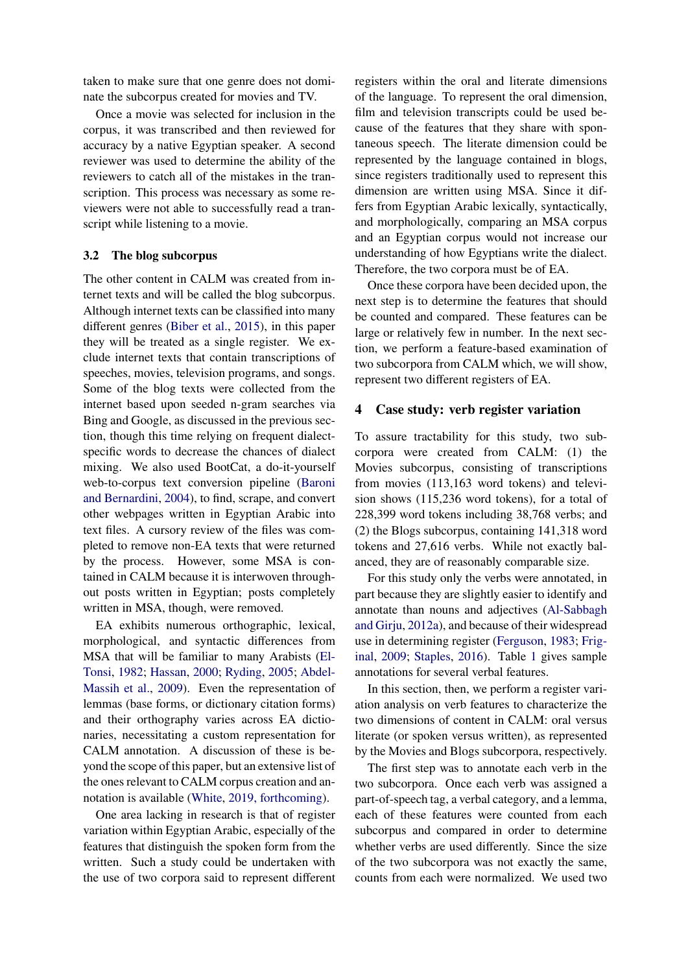taken to make sure that one genre does not dominate the subcorpus created for movies and TV.

Once a movie was selected for inclusion in the corpus, it was transcribed and then reviewed for accuracy by a native Egyptian speaker. A second reviewer was used to determine the ability of the reviewers to catch all of the mistakes in the transcription. This process was necessary as some reviewers were not able to successfully read a transcript while listening to a movie.

#### **3.2 The blog subcorpus**

The other content in CALM was created from internet texts and will be called the blog subcorpus. Although internet texts can be classified into many different genres (Biber et al., 2015), in this paper they will be treated as a single register. We exclude internet texts that contain transcriptions of speeches, movies, television programs, and songs. Some of the blo[g texts wer](#page-9-11)e [colle](#page-9-11)cted from the internet based upon seeded n-gram searches via Bing and Google, as discussed in the previous section, though this time relying on frequent dialectspecific words to decrease the chances of dialect mixing. We also used BootCat, a do-it-yourself web-to-corpus text conversion pipeline (Baroni and Bernardini, 2004), to find, scrape, and convert other webpages written in Egyptian Arabic into text files. A cursory review of the files was completed to remove non-EA texts that were r[eturned](#page-9-14) [by the process. Ho](#page-9-14)wever, some MSA is contained in CALM because it is interwoven throughout posts written in Egyptian; posts completely written in MSA, though, were removed.

EA exhibits numerous orthographic, lexical, morphological, and syntactic differences from MSA that will be familiar to many Arabists (El-Tonsi, 1982; Hassan, 2000; Ryding, 2005; Abdel-Massih et al., 2009). Even the representation of lemmas (base forms, or dictionary citation forms) and their orthography varies across EA dic[tio](#page-10-13)[naries](#page-10-13), [nece](#page-10-13)[ssitating a cus](#page-10-14)t[om representa](#page-10-15)t[ion for](#page-8-0) [CALM annotation.](#page-8-0) A discussion of these is beyond the scope of this paper, but an extensive list of the ones relevant to CALM corpus creation and annotation is available (White, 2019, forthcoming).

One area lacking in research is that of register variation within Egyptian Arabic, especially of the features that distinguish the spoken form from the written. Such a stu[dy could be undertaken wi](#page-11-4)th the use of two corpora said to represent different registers within the oral and literate dimensions of the language. To represent the oral dimension, film and television transcripts could be used because of the features that they share with spontaneous speech. The literate dimension could be represented by the language contained in blogs, since registers traditionally used to represent this dimension are written using MSA. Since it differs from Egyptian Arabic lexically, syntactically, and morphologically, comparing an MSA corpus and an Egyptian corpus would not increase our understanding of how Egyptians write the dialect. Therefore, the two corpora must be of EA.

Once these corpora have been decided upon, the next step is to determine the features that should be counted and compared. These features can be large or relatively few in number. In the next section, we perform a feature-based examination of two subcorpora from CALM which, we will show, represent two different registers of EA.

## **4 Case study: verb register variation**

To assure tractability for this study, two subcorpora were created from CALM: (1) the Movies subcorpus, consisting of transcriptions from movies (113,163 word tokens) and television shows (115,236 word tokens), for a total of 228,399 word tokens including 38,768 verbs; and (2) the Blogs subcorpus, containing 141,318 word tokens and 27,616 verbs. While not exactly balanced, they are of reasonably comparable size.

For this study only the verbs were annotated, in part because they are slightly easier to identify and annotate than nouns and adjectives (Al-Sabbagh and Girju, 2012a), and because of their widespread use in determining register (Ferguson, 1983; Friginal, 2009; Staples, 2016). Table 1 [gives sample](#page-8-1) annotations for several verbal features.

[In this](#page-8-1) s[ection,](#page-8-1) then, we perform a register variation analysis on verb featu[res to cha](#page-10-16)r[acteri](#page-10-16)z[e the](#page-10-17) [two dimen](#page-10-17)s[ions of conten](#page-11-5)t in CA[LM](#page-4-0): oral versus literate (or spoken versus written), as represented by the Movies and Blogs subcorpora, respectively.

The first step was to annotate each verb in the two subcorpora. Once each verb was assigned a part-of-speech tag, a verbal category, and a lemma, each of these features were counted from each subcorpus and compared in order to determine whether verbs are used differently. Since the size of the two subcorpora was not exactly the same, counts from each were normalized. We used two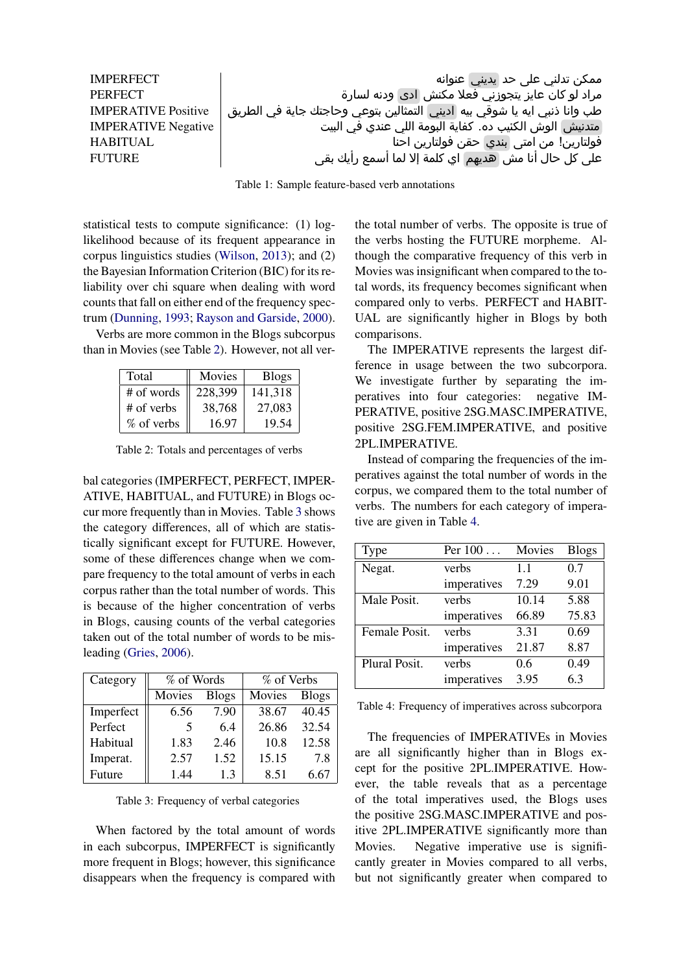<span id="page-4-0"></span>

| <b>IMPERFECT</b>           | ممکن تدلني علی حد یدیني عنوانه                                            |
|----------------------------|---------------------------------------------------------------------------|
| <b>PERFECT</b>             | مراد لو کان عایز پتجوزني فعلا مکنش ادي ودنه لسارة                         |
| <b>IMPERATIVE Positive</b> | طب وانا ذنبى ايه يا شوقي بيه  اديني التمثالين بتوعي وحاجتك جاية في الطريق |
| <b>IMPERATIVE Negative</b> | ً متدنيش الوش الكئيب ده. كفاية البومة اللي عندي في البيت                  |
| HABITUAL                   | فولتارين! من امتى بندي حقن فولتارين احنا                                  |
| <b>FUTURE</b>              | على كل حال أنا مش هديهم اي كلمة إلا لما أسمع رأيك بقى                     |

Table 1: Sample feature-based verb annotations

statistical tests to compute significance: (1) loglikelihood because of its frequent appearance in corpus linguistics studies (Wilson, 2013); and (2) the Bayesian Information Criterion (BIC) for its reliability over chi square when dealing with word counts that fall on either end of the frequency spectrum (Dunning, 1993; Ray[son and Garsid](#page-11-6)e, 2000).

Verbs are more common in the Blogs subcorpus than in Movies (see Table 2). However, not all ver-

| Total      | Movies  | <b>Blogs</b> |
|------------|---------|--------------|
| # of words | 228,399 | 141,318      |
| # of verbs | 38,768  | 27,083       |
| % of verbs | 16.97   | 19.54        |

<span id="page-4-1"></span>Table 2: Totals and percentages of verbs

bal categories (IMPERFECT, PERFECT, IMPER-ATIVE, HABITUAL, and FUTURE) in Blogs occur more frequently than in Movies. Table 3 shows the category differences, all of which are statistically significant except for FUTURE. However, some of these differences change when we compare frequency to the total amount of verb[s i](#page-4-2)n each corpus rather than the total number of words. This is because of the higher concentration of verbs in Blogs, causing counts of the verbal categories taken out of the total number of words to be misleading (Gries, 2006).

<span id="page-4-2"></span>

| Category  | % of Words |              | % of Verbs |              |
|-----------|------------|--------------|------------|--------------|
|           | Movies     | <b>Blogs</b> | Movies     | <b>Blogs</b> |
| Imperfect | 6.56       | 7.90         | 38.67      | 40.45        |
| Perfect   | 5          | 6.4          | 26.86      | 32.54        |
| Habitual  | 1.83       | 2.46         | 10.8       | 12.58        |
| Imperat.  | 2.57       | 1.52         | 15.15      | 7.8          |
| Future    | 1.44       | 1.3          | 8.51       | 6.67         |

Table 3: Frequency of verbal categories

When factored by the total amount of words in each subcorpus, IMPERFECT is significantly more frequent in Blogs; however, this significance disappears when the frequency is compared with the total number of verbs. The opposite is true of the verbs hosting the FUTURE morpheme. Although the comparative frequency of this verb in Movies was insignificant when compared to the total words, its frequency becomes significant when compared only to verbs. PERFECT and HABIT-UAL are significantly higher in Blogs by both comparisons.

The IMPERATIVE represents the largest difference in usage between the two subcorpora. We investigate further by separating the imperatives into four categories: negative IM-PERATIVE, positive 2SG.MASC.IMPERATIVE, positive 2SG.FEM.IMPERATIVE, and positive 2PL.IMPERATIVE.

Instead of comparing the frequencies of the imperatives against the total number of words in the corpus, we compared them to the total number of verbs. The numbers for each category of imperative are given in Table 4.

<span id="page-4-3"></span>

| <b>Type</b>   | Per $100 \ldots$ | Movies | <b>Blogs</b> |
|---------------|------------------|--------|--------------|
| Negat.        | verbs            | 1.1    | 0.7          |
|               | imperatives      | 7.29   | 9.01         |
| Male Posit.   | verbs            | 10.14  | 5.88         |
|               | imperatives      | 66.89  | 75.83        |
| Female Posit. | verbs            | 3.31   | 0.69         |
|               | imperatives      | 21.87  | 8.87         |
| Plural Posit. | verbs            | 0.6    | 0.49         |
|               | imperatives      | 3.95   | 6.3          |

Table 4: Frequency of imperatives across subcorpora

The frequencies of IMPERATIVEs in Movies are all significantly higher than in Blogs except for the positive 2PL.IMPERATIVE. However, the table reveals that as a percentage of the total imperatives used, the Blogs uses the positive 2SG.MASC.IMPERATIVE and positive 2PL.IMPERATIVE significantly more than Movies. Negative imperative use is significantly greater in Movies compared to all verbs, but not significantly greater when compared to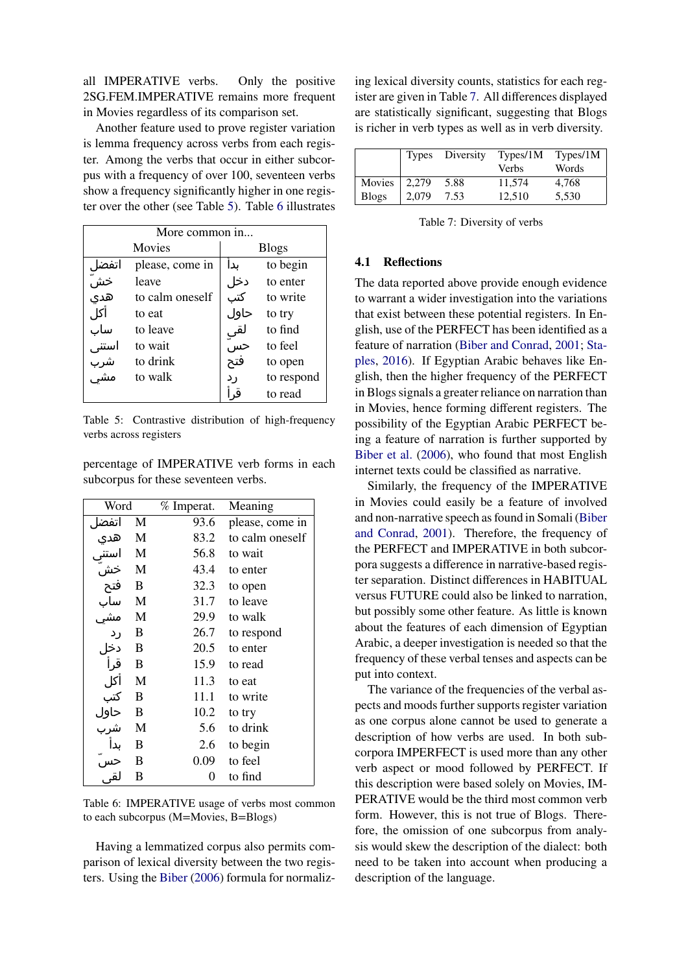all IMPERATIVE verbs. Only the positive 2SG.FEM.IMPERATIVE remains more frequent in Movies regardless of its comparison set.

Another feature used to prove register variation is lemma frequency across verbs from each register. Among the verbs that occur in either subcorpus with a frequency of over 100, seventeen verbs show a frequency significantly higher in one register over the other (see Table 5). Table 6 illustrates

<span id="page-5-0"></span>

| More common in |                 |              |            |  |
|----------------|-----------------|--------------|------------|--|
| Movies         |                 | <b>Blogs</b> |            |  |
| اتفضل          | please, come in | بدا          | to begin   |  |
| خشّ            | leave           | دخل          | to enter   |  |
| هدي            | to calm oneself | کتب          | to write   |  |
| أكل            | to eat          | حاول         | to try     |  |
| ساب            | to leave        | لقى<br>حسّ   | to find    |  |
| استنى          | to wait         |              | to feel    |  |
| شرب            | to drink        | فتح          | to open    |  |
| مشى            | to walk         | ر د          | to respond |  |
|                |                 |              | to read    |  |

Table 5: Contrastive distribution of high-frequency verbs across registers

percentage of IMPERATIVE verb forms in each subcorpus for these seventeen verbs.

<span id="page-5-1"></span>

| Word  |   | % Imperat. | Meaning         |
|-------|---|------------|-----------------|
| اتفضا | М | 93.6       | please, come in |
| هدی   | M | 83.2       | to calm oneself |
| استن  | M | 56.8       | to wait         |
| خش    | M | 43.4       | to enter        |
| فتح   | B | 32.3       | to open         |
| ساب   | M | 31.7       | to leave        |
| مشہ   | M | 29.9       | to walk         |
| رد    | B | 26.7       | to respond      |
| دخل   | B | 20.5       | to enter        |
| قرأ   | B | 15.9       | to read         |
| أكل   | M | 11.3       | to eat          |
| کتب   | B | 11.1       | to write        |
| حاول  | B | 10.2       | to try          |
| شرب   | M | 5.6        | to drink        |
| بدأ   | B | 2.6        | to begin        |
|       | В | 0.09       | to feel         |
|       | в | 0          | to find         |

Table 6: IMPERATIVE usage of verbs most common to each subcorpus (M=Movies, B=Blogs)

Having a lemmatized corpus also permits comparison of lexical diversity between the two registers. Using the Biber (2006) formula for normalizing lexical diversity counts, statistics for each register are given in Table 7. All differences displayed are statistically significant, suggesting that Blogs is richer in verb types as well as in verb diversity.

<span id="page-5-2"></span>

|              |              | Types Diversity | Types/1M<br>Verbs | Types/1M<br>Words |
|--------------|--------------|-----------------|-------------------|-------------------|
| Movies       | $\mid$ 2,279 | 5.88            | 11,574            | 4,768             |
| <b>Blogs</b> | 2.079        | 7.53            | 12,510            | 5,530             |

Table 7: Diversity of verbs

### **4.1 Reflections**

The data reported above provide enough evidence to warrant a wider investigation into the variations that exist between these potential registers. In English, use of the PERFECT has been identified as a feature of narration (Biber and Conrad, 2001; Staples, 2016). If Egyptian Arabic behaves like English, then the higher frequency of the PERFECT in Blogs signals a greater reliance on narration than in Movies, hence fo[rming different registers.](#page-9-0) [The](#page-11-5) [poss](#page-11-5)i[bility](#page-11-5) of the Egyptian Arabic PERFECT being a feature of narration is further supported by Biber et al. (2006), who found that most English internet texts could be classified as narrative.

Similarly, the frequency of the IMPERATIVE in Movies could easily be a feature of involved [and non-nar](#page-9-10)r[ative s](#page-9-10)peech as found in Somali (Biber and Conrad, 2001). Therefore, the frequency of the PERFECT and IMPERATIVE in both subcorpora suggests a difference in narrative-based register separation. Distinct differences in HABI[TUAL](#page-9-0) [versus FUTURE co](#page-9-0)uld also be linked to narration, but possibly some other feature. As little is known about the features of each dimension of Egyptian Arabic, a deeper investigation is needed so that the frequency of these verbal tenses and aspects can be put into context.

The variance of the frequencies of the verbal aspects and moods further supports register variation as one corpus alone cannot be used to generate a description of how verbs are used. In both subcorpora IMPERFECT is used more than any other verb aspect or mood followed by PERFECT. If this description were based solely on Movies, IM-PERATIVE would be the third most common verb form. However, this is not true of Blogs. Therefore, the omission of one subcorpus from analysis would skew the description of the dialect: both need to be taken into account when producing a description of the language.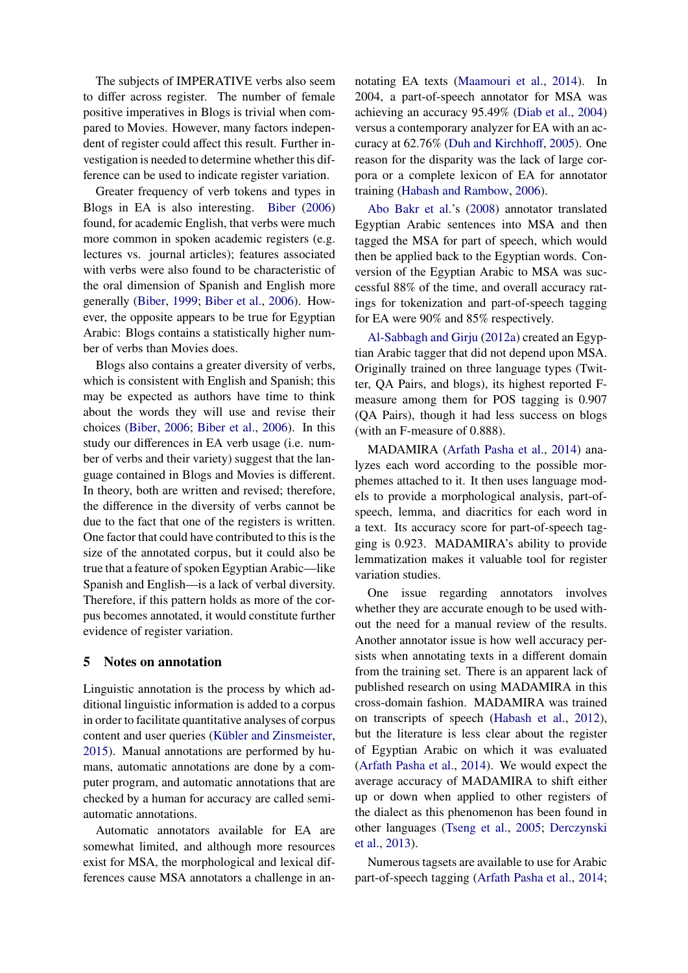The subjects of IMPERATIVE verbs also seem to differ across register. The number of female positive imperatives in Blogs is trivial when compared to Movies. However, many factors independent of register could affect this result. Further investigation is needed to determine whether this difference can be used to indicate register variation.

Greater frequency of verb tokens and types in Blogs in EA is also interesting. Biber (2006) found, for academic English, that verbs were much more common in spoken academic registers (e.g. lectures vs. journal articles); features associated with verbs were also found to be ch[aracte](#page-9-15)ri[stic of](#page-9-15) the oral dimension of Spanish and English more generally (Biber, 1999; Biber et al., 2006). However, the opposite appears to be true for Egyptian Arabic: Blogs contains a statistically higher number of verbs than Movies does.

Blogs a[lso contains a](#page-9-16) [greater diversity o](#page-9-10)f verbs, which is consistent with English and Spanish; this may be expected as authors have time to think about the words they will use and revise their choices (Biber, 2006; Biber et al., 2006). In this study our differences in EA verb usage (i.e. number of verbs and their variety) suggest that the language contained in Blogs and Movies is different. In theor[y, both are w](#page-9-15)r[itten and revised; t](#page-9-10)herefore, the difference in the diversity of verbs cannot be due to the fact that one of the registers is written. One factor that could have contributed to this is the size of the annotated corpus, but it could also be true that a feature of spoken Egyptian Arabic—like Spanish and English—is a lack of verbal diversity. Therefore, if this pattern holds as more of the corpus becomes annotated, it would constitute further evidence of register variation.

#### **5 Notes on annotation**

Linguistic annotation is the process by which additional linguistic information is added to a corpus in order to facilitate quantitative analyses of corpus content and user queries (Kübler and Zinsmeister, 2015). Manual annotations are performed by humans, automatic annotations are done by a computer program, and automatic annotations that are checked by a human for a[ccuracy are called semi](#page-10-3)[autom](#page-10-3)atic annotations.

Automatic annotators available for EA are somewhat limited, and although more resources exist for MSA, the morphological and lexical differences cause MSA annotators a challenge in annotating EA texts (Maamouri et al., 2014). In 2004, a part-of-speech annotator for MSA was achieving an accuracy 95.49% (Diab et al., 2004) versus a contemporary analyzer for EA with an accuracy at 62.76% ([Duh and Kirchhoff](#page-10-20), [2005\)](#page-10-20). One reason for the disparity was the lack of large corpora or a complete lexicon of [EA for annotator](#page-9-17) training (Habash and Rambow, 2006).

Abo Bakr et a[l.'s \(2008\) annotator tran](#page-10-21)slated Egyptian Arabic sentences into MSA and then tagged t[he MSA for part of speech,](#page-10-22) which would then be applied back to the Egyptian words. Conve[rsion of the Egyp](#page-8-2)tia[n Ara](#page-8-2)bic to MSA was successful 88% of the time, and overall accuracy ratings for tokenization and part-of-speech tagging for EA were 90% and 85% respectively.

Al-Sabbagh and Girju (2012a) created an Egyptian Arabic tagger that did not depend upon MSA. Originally trained on three language types (Twitter, QA Pairs, and blogs), its highest reported Fm[easure among them for POS](#page-8-1) tagging is 0.907 (QA Pairs), though it had less success on blogs (with an F-measure of 0.888).

MADAMIRA (Arfath Pasha et al., 2014) analyzes each word according to the possible morphemes attached to it. It then uses language models to provide a morphological analysis, part-ofspeech, lemma, [and diacritics for each wo](#page-9-18)rd in a text. Its accuracy score for part-of-speech tagging is 0.923. MADAMIRA's ability to provide lemmatization makes it valuable tool for register variation studies.

One issue regarding annotators involves whether they are accurate enough to be used without the need for a manual review of the results. Another annotator issue is how well accuracy persists when annotating texts in a different domain from the training set. There is an apparent lack of published research on using MADAMIRA in this cross-domain fashion. MADAMIRA was trained on transcripts of speech (Habash et al., 2012), but the literature is less clear about the register of Egyptian Arabic on which it was evaluated (Arfath Pasha et al., 2014). We would expect the average accuracy of MAD[AMIRA to shi](#page-10-23)ft [eithe](#page-10-23)r up or down when applied to other registers of the dialect as this phenomenon has been found in [other languages \(Tseng e](#page-9-18)t al., 2005; Derczynski et al., 2013).

Numerous tagsets are available to use for Arabic part-of-speech ta[gging \(Arfath Pasha](#page-11-7) et al., [2014;](#page-9-19)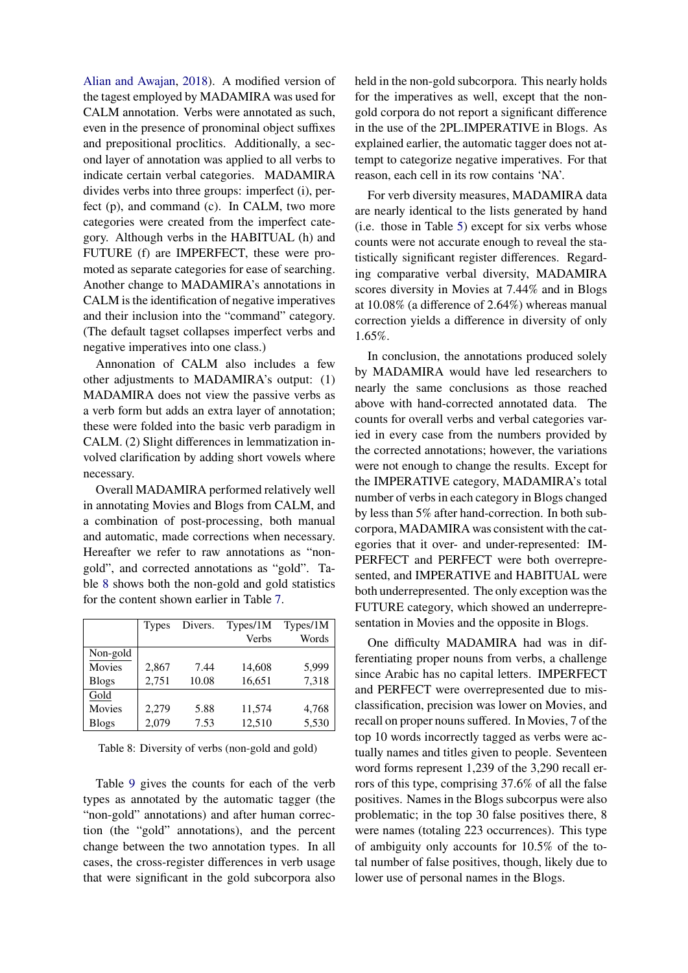Alian and Awajan, 2018). A modified version of the tagest employed by MADAMIRA was used for CALM annotation. Verbs were annotated as such, even in the presence of pronominal object suffixes [and prepositional](#page-9-20) p[roclit](#page-9-20)ics. Additionally, a second layer of annotation was applied to all verbs to indicate certain verbal categories. MADAMIRA divides verbs into three groups: imperfect (i), perfect (p), and command (c). In CALM, two more categories were created from the imperfect category. Although verbs in the HABITUAL (h) and FUTURE (f) are IMPERFECT, these were promoted as separate categories for ease of searching. Another change to MADAMIRA's annotations in CALM is the identification of negative imperatives and their inclusion into the "command" category. (The default tagset collapses imperfect verbs and negative imperatives into one class.)

Annonation of CALM also includes a few other adjustments to MADAMIRA's output: (1) MADAMIRA does not view the passive verbs as a verb form but adds an extra layer of annotation; these were folded into the basic verb paradigm in CALM. (2) Slight differences in lemmatization involved clarification by adding short vowels where necessary.

Overall MADAMIRA performed relatively well in annotating Movies and Blogs from CALM, and a combination of post-processing, both manual and automatic, made corrections when necessary. Hereafter we refer to raw annotations as "nongold", and corrected annotations as "gold". Table 8 shows both the non-gold and gold statistics for the content shown earlier in Table 7.

<span id="page-7-0"></span>

|               | <b>Types</b> | Divers. | Types/1M | Types/1M |
|---------------|--------------|---------|----------|----------|
|               |              |         | Verbs    | Words    |
| Non-gold      |              |         |          |          |
| <b>Movies</b> | 2,867        | 7.44    | 14,608   | 5,999    |
| <b>Blogs</b>  | 2,751        | 10.08   | 16,651   | 7,318    |
| Gold          |              |         |          |          |
| Movies        | 2,279        | 5.88    | 11,574   | 4,768    |
| <b>Blogs</b>  | 2,079        | 7.53    | 12,510   | 5,530    |

Table 8: Diversity of verbs (non-gold and gold)

Table 9 gives the counts for each of the verb types as annotated by the automatic tagger (the "non-gold" annotations) and after human correction (the "gold" annotations), and the percent change b[et](#page-8-3)ween the two annotation types. In all cases, the cross-register differences in verb usage that were significant in the gold subcorpora also held in the non-gold subcorpora. This nearly holds for the imperatives as well, except that the nongold corpora do not report a significant difference in the use of the 2PL.IMPERATIVE in Blogs. As explained earlier, the automatic tagger does not attempt to categorize negative imperatives. For that reason, each cell in its row contains 'NA'.

For verb diversity measures, MADAMIRA data are nearly identical to the lists generated by hand (i.e. those in Table 5) except for six verbs whose counts were not accurate enough to reveal the statistically significant register differences. Regarding comparative verbal diversity, MADAMIRA scores diversity in [Mo](#page-5-0)vies at 7.44% and in Blogs at 10.08% (a difference of 2.64%) whereas manual correction yields a difference in diversity of only 1.65%.

In conclusion, the annotations produced solely by MADAMIRA would have led researchers to nearly the same conclusions as those reached above with hand-corrected annotated data. The counts for overall verbs and verbal categories varied in every case from the numbers provided by the corrected annotations; however, the variations were not enough to change the results. Except for the IMPERATIVE category, MADAMIRA's total number of verbs in each category in Blogs changed by less than 5% after hand-correction. In both subcorpora, MADAMIRA was consistent with the categories that it over- and under-represented: IM-PERFECT and PERFECT were both overrepresented, and IMPERATIVE and HABITUAL were both underrepresented. The only exception was the FUTURE category, which showed an underrepresentation in Movies and the opposite in Blogs.

One difficulty MADAMIRA had was in differentiating proper nouns from verbs, a challenge since Arabic has no capital letters. IMPERFECT and PERFECT were overrepresented due to misclassification, precision was lower on Movies, and recall on proper nouns suffered. In Movies, 7 of the top 10 words incorrectly tagged as verbs were actually names and titles given to people. Seventeen word forms represent 1,239 of the 3,290 recall errors of this type, comprising 37.6% of all the false positives. Names in the Blogs subcorpus were also problematic; in the top 30 false positives there, 8 were names (totaling 223 occurrences). This type of ambiguity only accounts for 10.5% of the total number of false positives, though, likely due to lower use of personal names in the Blogs.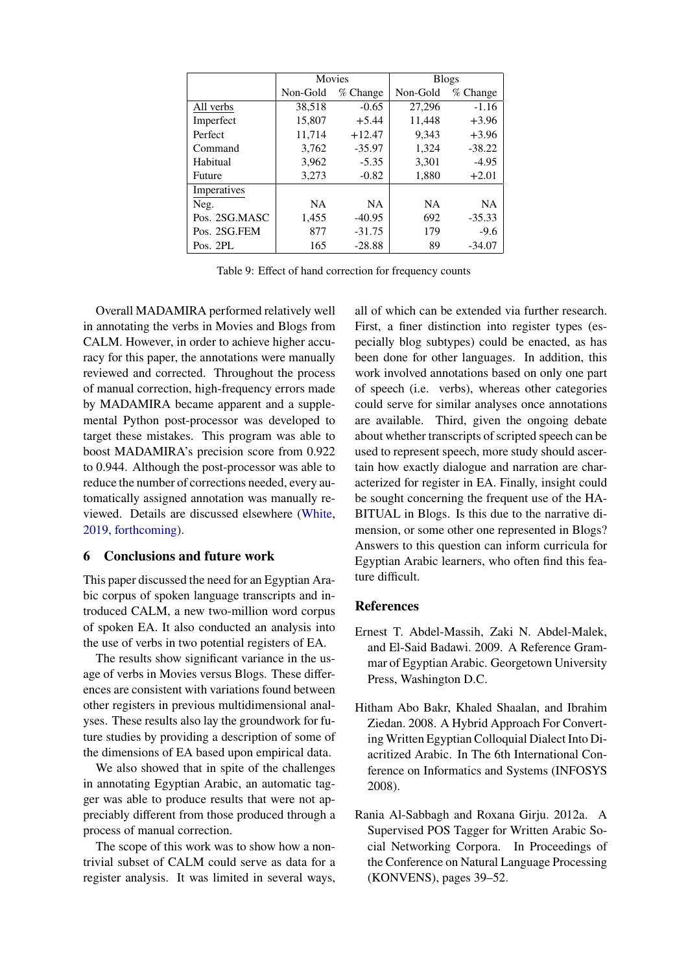<span id="page-8-3"></span>

|               | Movies    |           |           | <b>Blogs</b> |
|---------------|-----------|-----------|-----------|--------------|
|               | Non-Gold  | % Change  | Non-Gold  | % Change     |
| All verbs     | 38.518    | $-0.65$   | 27.296    | $-1.16$      |
| Imperfect     | 15,807    | $+5.44$   | 11,448    | $+3.96$      |
| Perfect       | 11,714    | $+12.47$  | 9,343     | $+3.96$      |
| Command       | 3,762     | $-35.97$  | 1,324     | $-38.22$     |
| Habitual      | 3,962     | $-5.35$   | 3,301     | $-4.95$      |
| Future        | 3,273     | $-0.82$   | 1,880     | $+2.01$      |
| Imperatives   |           |           |           |              |
| Neg.          | <b>NA</b> | <b>NA</b> | <b>NA</b> | <b>NA</b>    |
| Pos. 2SG.MASC | 1,455     | $-40.95$  | 692       | $-35.33$     |
| Pos. 2SG.FEM  | 877       | $-31.75$  | 179       | $-9.6$       |
| Pos. 2PL      | 165       | $-28.88$  | 89        | $-34.07$     |

Table 9: Effect of hand correction for frequency counts

Overall MADAMIRA performed relatively well in annotating the verbs in Movies and Blogs from CALM. However, in order to achieve higher accuracy for this paper, the annotations were manually reviewed and corrected. Throughout the process of manual correction, high-frequency errors made by MADAMIRA became apparent and a supplemental Python post-processor was developed to target these mistakes. This program was able to boost MADAMIRA's precision score from 0.922 to 0.944. Although the post-processor was able to reduce the number of corrections needed, every automatically assigned annotation was manually reviewed. Details are discussed elsewhere (White, 2019, forthcoming).

## **6 Conclusions and future work**

[This paper discusse](#page-11-4)d the need for an Egypti[an Ara](#page-11-4)bic corpus of spoken language transcripts and introduced CALM, a new two-million word corpus of spoken EA. It also conducted an analysis into the use of verbs in two potential registers of EA.

The results show significant variance in the usage of verbs in Movies versus Blogs. These differences are consistent with variations found between other registers in previous multidimensional analyses. These results also lay the groundwork for future studies by providing a description of some of the dimensions of EA based upon empirical data.

We also showed that in spite of the challenges in annotating Egyptian Arabic, an automatic tagger was able to produce results that were not appreciably different from those produced through a process of manual correction.

The scope of this work was to show how a nontrivial subset of CALM could serve as data for a register analysis. It was limited in several ways, all of which can be extended via further research. First, a finer distinction into register types (especially blog subtypes) could be enacted, as has been done for other languages. In addition, this work involved annotations based on only one part of speech (i.e. verbs), whereas other categories could serve for similar analyses once annotations are available. Third, given the ongoing debate about whether transcripts of scripted speech can be used to represent speech, more study should ascertain how exactly dialogue and narration are characterized for register in EA. Finally, insight could be sought concerning the frequent use of the HA-BITUAL in Blogs. Is this due to the narrative dimension, or some other one represented in Blogs? Answers to this question can inform curricula for Egyptian Arabic learners, who often find this feature difficult.

## **References**

- Ernest T. Abdel-Massih, Zaki N. Abdel-Malek, and El-Said Badawi. 2009. A Reference Grammar of Egyptian Arabic. Georgetown University Press, Washington D.C.
- <span id="page-8-2"></span><span id="page-8-0"></span>Hitham Abo Bakr, Khaled Shaalan, and Ibrahim Ziedan. 2008. A Hybrid Approach For Converting Written Egyptian Colloquial Dialect Into Diacritized Arabic. In The 6th International Conference on Informatics and Systems (INFOSYS 2008).
- <span id="page-8-1"></span>Rania Al-Sabbagh and Roxana Girju. 2012a. A Supervised POS Tagger for Written Arabic Social Networking Corpora. In Proceedings of the Conference on Natural Language Processing (KONVENS), pages 39–52.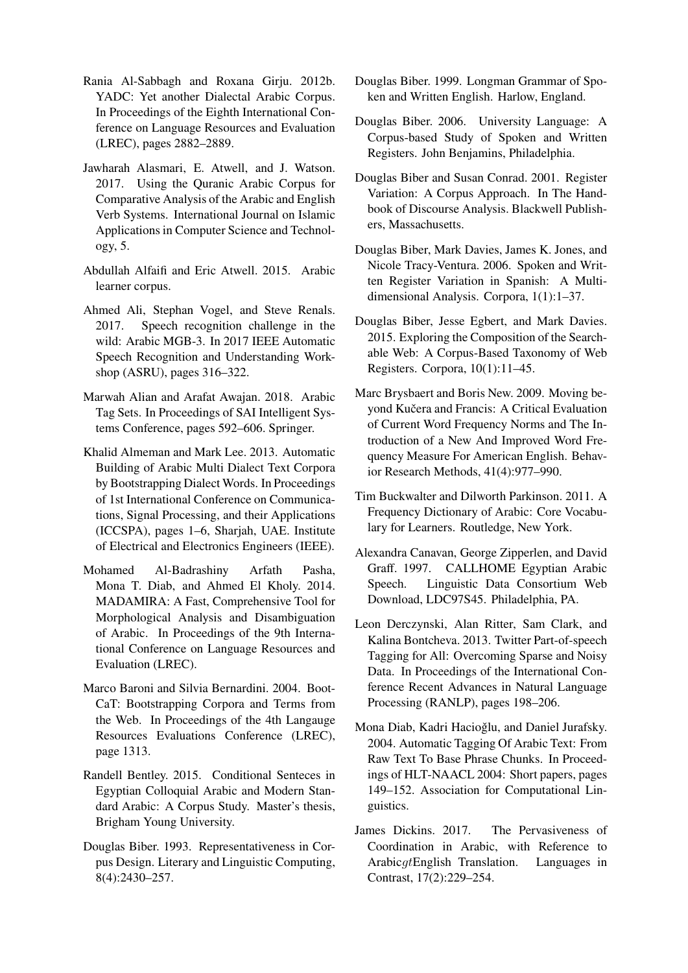- <span id="page-9-13"></span>Rania Al-Sabbagh and Roxana Girju. 2012b. YADC: Yet another Dialectal Arabic Corpus. In Proceedings of the Eighth International Conference on Language Resources and Evaluation (LREC), pages 2882–2889.
- <span id="page-9-6"></span>Jawharah Alasmari, E. Atwell, and J. Watson. 2017. Using the Quranic Arabic Corpus for Comparative Analysis of the Arabic and English Verb Systems. International Journal on Islamic Applications in Computer Science and Technology, 5.
- <span id="page-9-3"></span>Abdullah Alfaifi and Eric Atwell. 2015. Arabic learner corpus.
- <span id="page-9-2"></span>Ahmed Ali, Stephan Vogel, and Steve Renals. 2017. Speech recognition challenge in the wild: Arabic MGB-3. In 2017 IEEE Automatic Speech Recognition and Understanding Workshop (ASRU), pages 316–322.
- <span id="page-9-20"></span>Marwah Alian and Arafat Awajan. 2018. Arabic Tag Sets. In Proceedings of SAI Intelligent Systems Conference, pages 592–606. Springer.
- <span id="page-9-12"></span>Khalid Almeman and Mark Lee. 2013. Automatic Building of Arabic Multi Dialect Text Corpora by Bootstrapping Dialect Words. In Proceedings of 1st International Conference on Communications, Signal Processing, and their Applications (ICCSPA), pages 1–6, Sharjah, UAE. Institute of Electrical and Electronics Engineers (IEEE).
- <span id="page-9-18"></span>Mohamed Al-Badrashiny Arfath Pasha, Mona T. Diab, and Ahmed El Kholy. 2014. MADAMIRA: A Fast, Comprehensive Tool for Morphological Analysis and Disambiguation of Arabic. In Proceedings of the 9th International Conference on Language Resources and Evaluation (LREC).
- <span id="page-9-14"></span>Marco Baroni and Silvia Bernardini. 2004. Boot-CaT: Bootstrapping Corpora and Terms from the Web. In Proceedings of the 4th Langauge Resources Evaluations Conference (LREC), page 1313.
- <span id="page-9-5"></span>Randell Bentley. 2015. Conditional Senteces in Egyptian Colloquial Arabic and Modern Standard Arabic: A Corpus Study. Master's thesis, Brigham Young University.
- <span id="page-9-8"></span>Douglas Biber. 1993. Representativeness in Corpus Design. Literary and Linguistic Computing, 8(4):2430–257.
- <span id="page-9-16"></span>Douglas Biber. 1999. Longman Grammar of Spoken and Written English. Harlow, England.
- <span id="page-9-15"></span>Douglas Biber. 2006. University Language: A Corpus-based Study of Spoken and Written Registers. John Benjamins, Philadelphia.
- <span id="page-9-0"></span>Douglas Biber and Susan Conrad. 2001. Register Variation: A Corpus Approach. In The Handbook of Discourse Analysis. Blackwell Publishers, Massachusetts.
- <span id="page-9-10"></span>Douglas Biber, Mark Davies, James K. Jones, and Nicole Tracy-Ventura. 2006. Spoken and Written Register Variation in Spanish: A Multidimensional Analysis. Corpora, 1(1):1–37.
- <span id="page-9-11"></span>Douglas Biber, Jesse Egbert, and Mark Davies. 2015. Exploring the Composition of the Searchable Web: A Corpus-Based Taxonomy of Web Registers. Corpora, 10(1):11–45.
- <span id="page-9-9"></span>Marc Brysbaert and Boris New. 2009. Moving beyond Kučera and Francis: A Critical Evaluation of Current Word Frequency Norms and The Introduction of a New And Improved Word Frequency Measure For American English. Behavior Research Methods, 41(4):977–990.
- <span id="page-9-4"></span>Tim Buckwalter and Dilworth Parkinson. 2011. A Frequency Dictionary of Arabic: Core Vocabulary for Learners. Routledge, New York.
- <span id="page-9-1"></span>Alexandra Canavan, George Zipperlen, and David Graff. 1997. CALLHOME Egyptian Arabic Speech. Linguistic Data Consortium Web Download, LDC97S45. Philadelphia, PA.
- <span id="page-9-19"></span>Leon Derczynski, Alan Ritter, Sam Clark, and Kalina Bontcheva. 2013. Twitter Part-of-speech Tagging for All: Overcoming Sparse and Noisy Data. In Proceedings of the International Conference Recent Advances in Natural Language Processing (RANLP), pages 198–206.
- <span id="page-9-17"></span>Mona Diab, Kadri Hacioǧlu, and Daniel Jurafsky. 2004. Automatic Tagging Of Arabic Text: From Raw Text To Base Phrase Chunks. In Proceedings of HLT-NAACL 2004: Short papers, pages 149–152. Association for Computational Linguistics.
- <span id="page-9-7"></span>James Dickins. 2017. The Pervasiveness of Coordination in Arabic, with Reference to Arabic*gt*English Translation. Languages in Contrast, 17(2):229–254.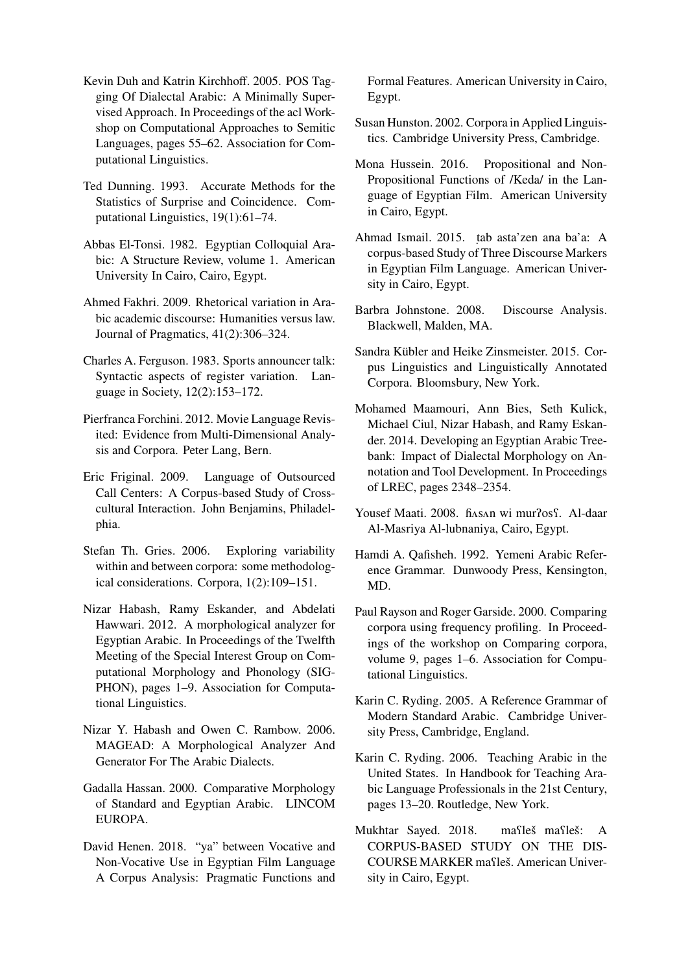- <span id="page-10-21"></span>Kevin Duh and Katrin Kirchhoff. 2005. POS Tagging Of Dialectal Arabic: A Minimally Supervised Approach. In Proceedings of the acl Workshop on Computational Approaches to Semitic Languages, pages 55–62. Association for Computational Linguistics.
- <span id="page-10-18"></span>Ted Dunning. 1993. Accurate Methods for the Statistics of Surprise and Coincidence. Computational Linguistics, 19(1):61–74.
- <span id="page-10-13"></span>Abbas El-Tonsi. 1982. Egyptian Colloquial Arabic: A Structure Review, volume 1. American University In Cairo, Cairo, Egypt.
- <span id="page-10-8"></span>Ahmed Fakhri. 2009. Rhetorical variation in Arabic academic discourse: Humanities versus law. Journal of Pragmatics, 41(2):306–324.
- <span id="page-10-16"></span>Charles A. Ferguson. 1983. Sports announcer talk: Syntactic aspects of register variation. Language in Society, 12(2):153–172.
- <span id="page-10-7"></span>Pierfranca Forchini. 2012. Movie Language Revisited: Evidence from Multi-Dimensional Analysis and Corpora. Peter Lang, Bern.
- <span id="page-10-17"></span>Eric Friginal. 2009. Language of Outsourced Call Centers: A Corpus-based Study of Crosscultural Interaction. John Benjamins, Philadelphia.
- <span id="page-10-0"></span>Stefan Th. Gries. 2006. Exploring variability within and between corpora: some methodological considerations. Corpora, 1(2):109–151.
- <span id="page-10-23"></span>Nizar Habash, Ramy Eskander, and Abdelati Hawwari. 2012. A morphological analyzer for Egyptian Arabic. In Proceedings of the Twelfth Meeting of the Special Interest Group on Computational Morphology and Phonology (SIG-PHON), pages 1–9. Association for Computational Linguistics.
- <span id="page-10-22"></span>Nizar Y. Habash and Owen C. Rambow. 2006. MAGEAD: A Morphological Analyzer And Generator For The Arabic Dialects.
- <span id="page-10-14"></span>Gadalla Hassan. 2000. Comparative Morphology of Standard and Egyptian Arabic. LINCOM EUROPA.
- <span id="page-10-5"></span>David Henen. 2018. "ya" between Vocative and Non-Vocative Use in Egyptian Film Language A Corpus Analysis: Pragmatic Functions and

Formal Features. American University in Cairo, Egypt.

- <span id="page-10-2"></span>Susan Hunston. 2002. Corpora in Applied Linguistics. Cambridge University Press, Cambridge.
- <span id="page-10-9"></span>Mona Hussein. 2016. Propositional and Non-Propositional Functions of /Keda/ in the Language of Egyptian Film. American University in Cairo, Egypt.
- <span id="page-10-4"></span>Ahmad Ismail. 2015. ṭab asta'zen ana ba'a: A corpus-based Study of Three Discourse Markers in Egyptian Film Language. American University in Cairo, Egypt.
- <span id="page-10-1"></span>Barbra Johnstone. 2008. Discourse Analysis. Blackwell, Malden, MA.
- <span id="page-10-3"></span>Sandra Kübler and Heike Zinsmeister. 2015. Corpus Linguistics and Linguistically Annotated Corpora. Bloomsbury, New York.
- <span id="page-10-20"></span>Mohamed Maamouri, Ann Bies, Seth Kulick, Michael Ciul, Nizar Habash, and Ramy Eskander. 2014. Developing an Egyptian Arabic Treebank: Impact of Dialectal Morphology on Annotation and Tool Development. In Proceedings of LREC, pages 2348–2354.
- <span id="page-10-12"></span>Yousef Maati. 2008. ɦʌsʌn wi murʔosʕ. Al-daar Al-Masriya Al-lubnaniya, Cairo, Egypt.
- <span id="page-10-11"></span>Hamdi A. Qafisheh. 1992. Yemeni Arabic Reference Grammar. Dunwoody Press, Kensington, MD.
- <span id="page-10-19"></span>Paul Rayson and Roger Garside. 2000. Comparing corpora using frequency profiling. In Proceedings of the workshop on Comparing corpora, volume 9, pages 1–6. Association for Computational Linguistics.
- <span id="page-10-15"></span>Karin C. Ryding. 2005. A Reference Grammar of Modern Standard Arabic. Cambridge University Press, Cambridge, England.
- <span id="page-10-6"></span>Karin C. Ryding. 2006. Teaching Arabic in the United States. In Handbook for Teaching Arabic Language Professionals in the 21st Century, pages 13–20. Routledge, New York.
- <span id="page-10-10"></span>Mukhtar Sayed. 2018. maʕleš maʕleš: A CORPUS-BASED STUDY ON THE DIS-COURSE MARKER maʕleš. American University in Cairo, Egypt.